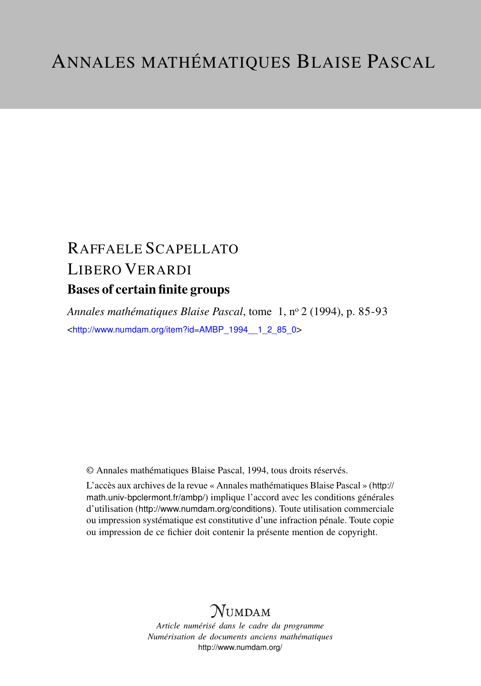# RAFFAELE SCAPELLATO LIBERO VERARDI Bases of certain finite groups

*Annales mathématiques Blaise Pascal*, tome 1, n<sup>o</sup> 2 (1994), p. 85-93 <[http://www.numdam.org/item?id=AMBP\\_1994\\_\\_1\\_2\\_85\\_0](http://www.numdam.org/item?id=AMBP_1994__1_2_85_0)>

© Annales mathématiques Blaise Pascal, 1994, tous droits réservés.

L'accès aux archives de la revue « Annales mathématiques Blaise Pascal » ([http://](http://math.univ-bpclermont.fr/ambp/) [math.univ-bpclermont.fr/ambp/](http://math.univ-bpclermont.fr/ambp/)) implique l'accord avec les conditions générales d'utilisation (<http://www.numdam.org/conditions>). Toute utilisation commerciale ou impression systématique est constitutive d'une infraction pénale. Toute copie ou impression de ce fichier doit contenir la présente mention de copyright.

# **NUMDAM**

*Article numérisé dans le cadre du programme Numérisation de documents anciens mathématiques* <http://www.numdam.org/>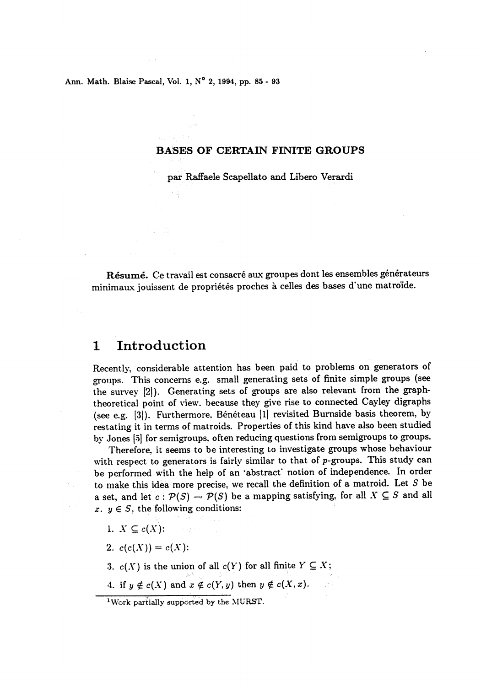Ann. Math. Blaise Pascal, Vol. 1, N° 2, 1994, pp. 85 - 93

#### BASES OF CERTAIN FINITE GROUPS

par Raffaele Scapellato and Libero Verardi

Résumé. Ce travail est consacré aux groupes dont les ensembles générateurs minimaux jouissent de propriétés proches à celles des bases d'une matroïde.

#### 1 Introduction

Recently, considerable attention has been paid to problems on generators of groups. This concerns e.g. small generating sets of finite simple groups (see the survey [2]). Generating sets of groups are also relevant from the graphtheoretical point of view. because they give rise to connected Cayley digraphs (see e.g. [3]). Furthermore, Bénéteau [1] revisited Burnside basis theorem, by restating it in terms of matroids. Properties of this kind have also been studied by Jones [5] for semigroups, often reducing questions from semigroups to groups.

Therefore, it seems to be interesting to investigate groups whose behaviour with respect to generators is fairly similar to that of p-groups. This study can be performed with the help of an 'abstract' notion of independence. In order to make this idea more precise, we recall the definition of a matroid. Let S be a set, and let  $c: \mathcal{P}(S) \to \mathcal{P}(S)$  be a mapping satisfying, for all  $X \subseteq S$  and all x.  $y \in S$ , the following conditions:

- 1.  $X \subseteq c(X):$
- 2.  $c(c(X)) = c(X)$ :
- 3.  $c(X)$  is the union of all  $c(Y)$  for all finite  $Y \subseteq X$ ;
- 4. if  $y \notin c(X)$  and  $x \notin c(Y, y)$  then  $y \notin c(X, x)$ .

<sup>&</sup>lt;sup>1</sup>Work partially supported by the MURST.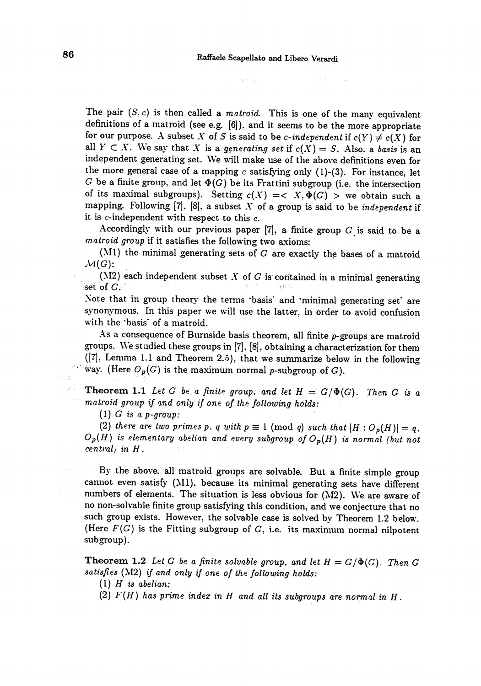计算 一身

The pair  $(S, c)$  is then called a *matroid*. This is one of the many equivalent definitions of a matroid (see e.g. [6]), and it seems to be the more appropriate for our purpose. A subset X of S is said to be c-independent if  $c(Y) \neq c(X)$  for all  $Y \subset X$ . We say that X is a generating set if  $c(X) = S$ . Also, a basis is an independent generating set. We will make use of the above definitions even for

 $\sim$  -way . In

the more general case of a mapping  $c$  satisfying only (1)-(3). For instance, let G be a finite group, and let  $\Phi(G)$  be its Frattini subgroup (i.e. the intersection of its maximal subgroups). Setting  $c(X) = \langle X, \Phi(G) \rangle$  we obtain such a mapping. Following  $[7]$ ,  $[8]$ , a subset  $X$  of a group is said to be independent if it is  $c$ -independent with respect to this  $c$ .

Accordingly with our previous paper  $[7]$ , a finite group G is said to be a matroid group if it satisfies the following two axioms:

(M1) the minimal generating sets of  $G$  are exactly the bases of a matroid  $\mathcal{M}(G)$ :

(M2) each independent subset X of G is contained in a minimal generating set of  $G$ : ' " z.: .

Note that in group theory the terms 'basis' and 'minimal generating set' are synonymous. In this paper we will use the latter, in order to avoid confusion with the 'basis' of a matroid.

As a consequence of Burnside basis theorem, all finite p-groups are matroid groups. We studied these groups in  $[7]$ ,  $[8]$ , obtaining a characterization for them  $([7],$  Lemma 1.1 and Theorem 2.5), that we summarize below in the following way. (Here  $O_p(G)$  is the maximum normal p-subgroup of G).

**Theorem 1.1** Let G be a finite group, and let  $H = G/\Phi(G)$ . Then G is a matroid group if and only if one of the following holds:

(1) G is a p-group:

(2) there are two primes p. q with  $p \equiv 1 \pmod{q}$  such that  $|H : O_p(H)| = q$ .  $O_p(H)$  is elementary abelian and every subgroup of  $O_p(H)$  is normal (but not central) in H .

By the above, all matroid groups are solvable. But a finite simple group cannot even satisfy (M1), because its minimal generating sets have different numbers of elements. The situation is less obvious for (M2). We are awar no non-solvable finite group satisfying this condition, and we conjecture that no such group exists. However, the solvable case is solved by Theorem 1.2 below. (Here  $F(G)$  is the Fitting subgroup of  $G$ , i.e. its maximum normal nilpotent subgroup).

**Theorem 1.2** Let G be a finite solvable group, and let  $H = G/\Phi(G)$ . Then G satisfies ( $M2$ ) if and only if one of the following holds:

(1)  $H$  is abelian;

(2)  $F(H)$  has prime index in H and all its subgroups are normal in H.

 $^{\circ}$  3.2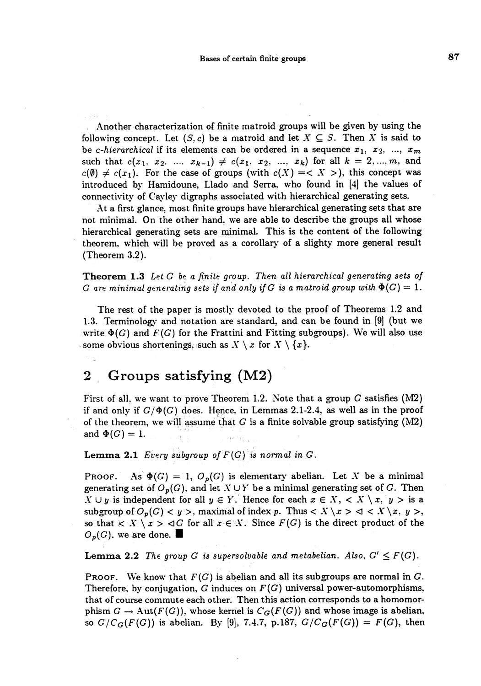Another characterization of finite matroid groups will be given by using the following concept. Let  $(S, c)$  be a matroid and let  $X \subseteq S$ . Then X is said to be c-hierarchical if its elements can be ordered in a sequence  $x_1, x_2, ..., x_m$ 

such that  $c(x_1, x_2, \ldots, x_{k-1}) \neq c(x_1, x_2, \ldots, x_k)$  for all  $k = 2, \ldots, m$ , and  $c(\emptyset) \neq c(x_1)$ . For the case of groups (with  $c(X) = \langle X \rangle$ ), this concept was introduced by Hamidoune, Llado and Serra, who found in [4] the values of connectivity of Cayley digraphs associated with hierarchical generating sets.

At a first glance, most finite groups have hierarchical generating sets that are not minimal. On the other hand, we are able to describe the groups all whose hierarchical generating sets are minimal. This is the content of the following theorem, which will be proved as a corollary of a slighty more general result (Theorem 3.2 ).

Theorem 1.3 Let G be a finite group. Then all hierarchical generating sets of G are minimal generating sets if and only if G is a matroid group with  $\Phi(G) = 1$ .

The rest of the paper is mostly devoted to the proof of Theorems 1.2 and 1.3. Terminology and notation are standard, and can be found in [9] (but we write  $\Phi(G)$  and  $F(G)$  for the Frattini and Fitting subgroups). We will also use some obvious shortenings, such as  $X \setminus x$  for  $X \setminus \{x\}$ .

## 2 Groups satisfying (M2)

'

First of all, we want to prove Theorem 1.2. Note that a group  $G$  satisfies (M2) if and only if  $G/\Phi(G)$  does. Hence, in Lemmas 2.1-2.4, as well as in the proof of the theorem, we will assume that G is a finite solvable group satisfying (M2) and  $\Phi(G)=1$ .

Lemma 2.1 Every subgroup of  $F(G)$  is normal in  $G$ .

PROOF. As  $\Phi(G) = 1$ ,  $O_p(G)$  is elementary abelian. Let X be a minimal generating set of  $O_p(G)$ , and let  $X \cup Y$  be a minimal generating set of G. Then  $X \cup y$  is independent for all  $y \in Y$ . Hence for each  $x \in X$ ,  $\langle X \setminus x, y \rangle$  is a subgroup of  $O_p(G) < y >$ , maximal of index p. Thus  $\langle X \setminus x > d \rangle \langle X \setminus x, y >$ , so that  $\langle K \rangle$   $x > dG$  for all  $x \in X$ . Since  $F(G)$  is the direct product of the  $O_p(G)$ , we are done.

**Lemma 2.2** The group G is supersolvable and metabelian. Also,  $G' \leq F(G)$ .

PROOF. We know that  $F(G)$  is abelian and all its subgroups are normal in G. Therefore, by conjugation, G induces on  $F(G)$  universal power-automorphisms, that of course commute each other. Then this action corresponds to a homomorphism  $G \to \text{Aut}(F(G))$ , whose kernel is  $C_G(F(G))$  and whose image is abelian, so  $G/C_G(F(G))$  is abelian. By [9], 7.4.7, p.187,  $G/C_G(F(G)) = F(G)$ , then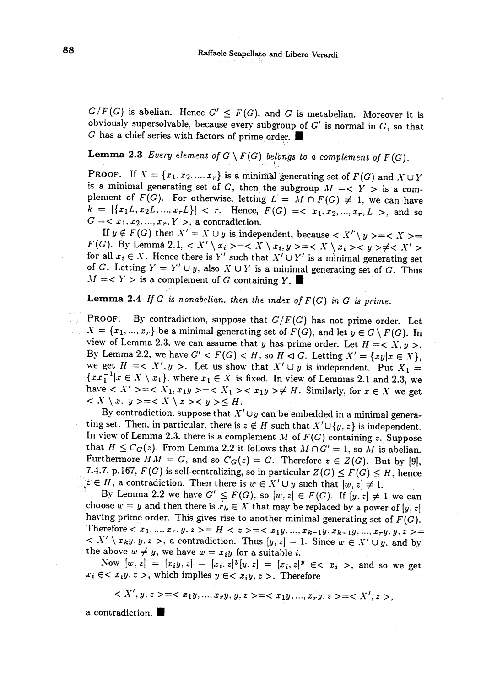$G/F(G)$  is abelian. Hence  $G' \leq F(G)$ , and G is metabelian. Moreover it is obviously supersolvable, because every subgroup of  $G'$  is normal in  $G$ , so that G has a chief series with factors of prime order.

### **Lemma 2.3** Every element of  $G \setminus F(G)$  belongs to a complement of  $F(G)$ .

PROOF. If  $X = \{x_1, x_2, ..., x_r\}$  is a minimal generating set of  $F(G)$  and  $X \cup Y$ is a minimal generating set of G, then the subgroup  $M = < Y >$  is a complement of  $F(G)$ . For otherwise, letting  $L' = M \cap F(G) \neq 1$ , we can have  $k = |\{x_1L, x_2L, ..., x_rL\}| < r.$  Hence,  $F(G) = \langle x_1, x_2, ..., x_r, L \rangle$ , and so  $G = \langle x_1, x_2, ..., x_r, Y \rangle$ , a contradiction.

 $G = \langle x_1, x_2, ..., x_r, Y \rangle$ , a contradiction.<br>If  $y \notin F(G)$  then  $X' = X \cup y$  is independent, because  $\langle X' \setminus y \rangle = \langle X \rangle =$  $F(G)$ . By Lemma 2.1,  $\langle X' \setminus x_i \rangle = \langle X \setminus x_i, y \rangle = \langle X \setminus x_i \rangle \langle y \rangle = \langle X' \setminus x_i \rangle$ for all  $x_i \in X$ . Hence there is Y' such that  $X' \cup Y'$  is a minimal generating set of G. Letting  $Y = Y' \cup y$ , also  $X \cup Y$  is a minimal generating set of G. Thus  $M = \langle Y \rangle$  is a complement of G containing  $Y$ .

**Lemma 2.4** If G is nonabelian. then the index of  $F(G)$  in G is prime.

PROOF. By contradiction, suppose that  $G/F(G)$  has not prime order. Let  $X = \{x_1, ..., x_r\}$  be a minimal generating set of  $F(G)$ , and let  $y \in G \setminus F(G)$ . In view of Lemma 2.3, we can assume that y has prime order. Let  $H = \langle X, y \rangle$ .<br>By Lemma 2.2, we have  $G' < F(G) < H$ , so  $H \triangleleft G$ . Letting  $X' = \{xy | x \in X\}$ , we get  $H = < X', y >$ . Let us show that  $X' \cup y$  is independent. Put  $X_1 =$  $\{xx_1^{-1}|x \in X \setminus x_1\}$ , where  $x_1 \in X$  is fixed. In view of Lemmas 2.1 and 2.3, we have  $X' \geq c X_1, x_1y \geq c X_1 \geq c x_1y \geq f$ . Similarly, for  $x \in X$  we get  $Y \setminus X, y \geq x \setminus X \setminus x \geq y \geq H.$ 

By contradiction, suppose that  $X' \cup y$  can be embedded in a minimal generating set. Then, in particular, there is  $z \notin H$  such that  $X' \cup \{y, z\}$  is independent. In view of Lemma 2.3, there is a complement M of  $F(G)$  containing z. Suppose that  $H \leq C_G(z)$ . From Lemma 2.2 it follows that  $M \cap G' = 1$ , so M is abelian. Furthermore  $HM = G$ , and so  $C_G(z) = G$ . Therefore  $z \in Z(G)$ . But by [9], 7.4.7, p.167,  $F(G)$  is self-centralizing, so in particular  $Z(G) \leq F(G) \leq H$ , hence  $z \in H$ , a contradiction. Then there is  $w \in X' \cup y$  such that  $[w, z] \neq 1$ .

By Lemma 2.2 we have  $G' \leq F(G)$ , so  $[w, z] \in F(G)$ . If  $[y, z] \neq 1$  we can choose  $w = y$  and then there is  $x_k \in X$  that may be replaced by a power of  $[y, z]$  having prime order. This gives rise to another minimal generating set of  $F(G)$ . Therefore  $\langle x_1, ..., x_r, y, z \rangle = H \langle z \rangle = \langle x_1y, ..., x_{k-1}y, x_{k-1}y, ..., x_ry, y, z \rangle =$  $X' \setminus x_k y, y, z >$ , a contradiction. Thus  $[y, z] = 1$ . Since  $w \in X' \cup y$ , and by the above  $w \neq y$ , we have  $w = x_i y$  for a suitable *i*.

Now  $[w, z] = [x_i y, z] = [x_i, z]^y [y, z] = [x_i, z]^y \in < x_i >$ , and so we get  $x_i \in \leq x_i y, z >$ , which implies  $y \in \leq x_i y, z >$ . Therefore

 $x < X', y, z> =  =  =$ 

a contradiction..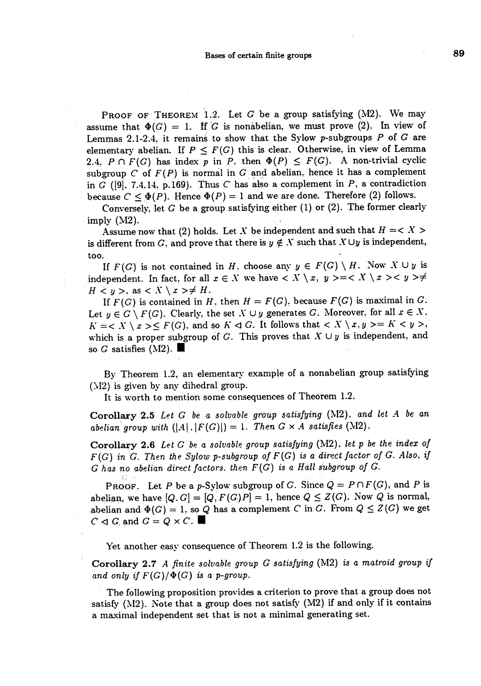PROOF OF THEOREM 1.2. Let  $G$  be a group satisfying (M2). We may assume that  $\Phi(G) = 1$ . If G is nonabelian, we must prove (2). In view of Lemmas 2.1-2.4, it remains to show that the Sylow p-subgroups  $P$  of  $G$  are elementary abelian. If  $P \leq F(G)$  this is clear. Otherwise, in view of Lemma 2.4,  $P \cap F(G)$  has index p in P, then  $\Phi(P) \leq F(G)$ . A non-trivial cyclic subgroup  $C$  of  $F(P)$  is normal in  $G$  and abelian, hence it has a complement in G ([9], 7.4, 14, p. 169). Thus C has also a complement in P, a contradiction because  $C \leq \Phi(P)$ . Hence  $\Phi(P) = 1$  and we are done. Therefore (2) follows.

Conversely, let  $G$  be a group satisfying either (1) or (2). The former clearly imply  $(M2)$ .

 $\hbox{A}$ ssume now that (2) holds. Let  $X$  be independent and such that  $H = <\,X>$ is different from G, and prove that there is  $y \notin X$  such that  $X \cup y$  is independent, in  $G$  ([9], 7.4,14, p.169). Thus  $C$  has also a complement in<br>because  $C \le \Phi(P)$ . Hence  $\Phi(P) = 1$  and we are done. The<br>Conversely, let  $G$  be a group satisfying either (1) or (2)<br>imply (M2).<br>Assume now that (2) holds. Let

If  $F(G)$  is not contained in H, choose any  $y \in F(G) \setminus H$ . Now  $X \cup y$  is independent. In fact, for all  $x \in X$  we have  $\langle X \setminus x, y \rangle = \langle X \setminus x \rangle \langle x \rangle \langle y \rangle$  $H < y >$ , as  $\lt X \setminus x > \neq H$ .

If  $F(G)$  is contained in H, then  $H = F(G)$ , because  $F(G)$  is maximal in G. Let  $y \in G \setminus F(G)$ . Clearly, the set  $X \cup y$  generates G. Moreover, for all  $x \in X$ ,  $K = \langle X \setminus x \rangle \leq F(G)$ , and so  $K \triangleleft G$ . It follows that  $\langle X \setminus x, y \rangle = K \langle y \rangle$ , which is a proper subgroup of G. This proves that  $X \cup y$  is independent, and so G satisfies (M2).  $\blacksquare$ 

By Theorem 1.2, an elementary example of a nonabelian group satisfying  $(N2)$  is given by any dihedral group.

It is worth to mention some consequences of Theorem 1.2.

Corollary 2.5 Let  $G$  be a solvable group satisfying (M2), and let  $A$  be an abelian group with  $(|A|,|F(G)|) = 1$ . Then  $G \times A$  satisfies (M2).

Corollary 2.6 Let G be a solvable group satisfying (M2), let p be the index of  $F(G)$  in G. Then the Sylow p-subgroup of  $F(G)$  is a direct factor of G. Also, if  $G$  has no abelian direct factors. then  $F(G)$  is a Hall subgroup of  $G$ .

**PROOF.** Let P be a p-Sylow subgroup of G. Since  $Q = P \cap F(G)$ , and P is abelian, we have  $[Q, G] = [Q, F(G)P] = 1$ , hence  $Q \leq Z(G)$ . Now Q is normal, abelian and  $\Phi(G) = 1$ , so Q has a complement C in G. From  $Q \leq Z(G)$  we get  $C \triangleleft G$  and  $G = Q \times C$ .

Yet another easy consequence of Theorem 1.2 is the following.

Corollary 2.7 A finite solvable group  $G$  satisfying (M2) is a matroid group if and only if  $F(G)/\Phi(G)$  is a p-group.

The following proposition provides a criterion to prove that a group does not satisfy (M2). Note that a group does not satisfy (M2) if and only if it contains a maximal independent set that is not a minimal generating set.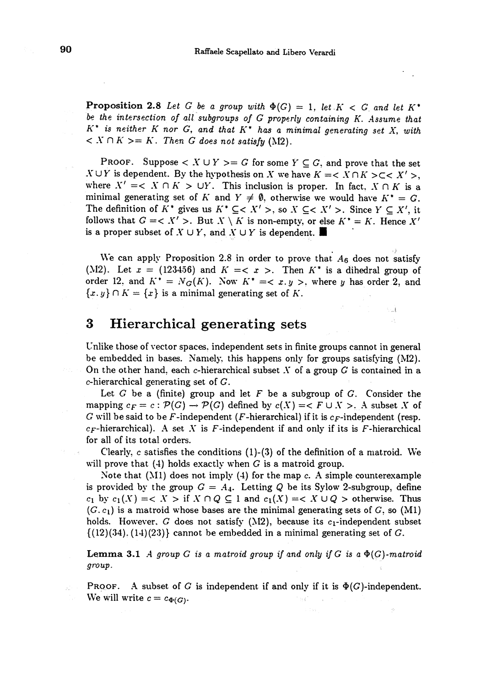**Proposition 2.8** Let G be a group with  $\Phi(G) = 1$ , let  $K < G$  and let  $K^*$ be the intersection of all subgroups of G properly containing K. Assume that  $K^*$  is neither K nor G, and that  $K^*$  has a minimal generating set X, with  $K > K$ . Then G does not satisfy (M2).

PROOF. Suppose  $\langle X \cup Y \rangle = G$  for some  $Y \subseteq G$ , and prove that the set  $X \cup Y$  is dependent. By the hypothesis on X we have  $K = \langle X \cap K \rangle \subset \langle X' \rangle$ , where  $X' = \langle X \cap K \rangle$  UY. This inclusion is proper. In fact,  $X \cap K$  is a minimal generating set of K and  $Y \neq \emptyset$ , otherwise we would have  $K^* = G$ . The definition of  $K^*$  gives us  $K^* \subseteq  $X' >$ , so  $X \subseteq  $X' >$ . Since  $Y \subseteq X'$ , it$$ follows that  $G = \langle X' \rangle$ . But  $X \setminus K$  is non-empty, or else  $K^* = K$ . Hence  $X'$ is a proper subset of  $X \cup Y$ , and  $X \cup Y$  is dependent.

We can apply Proposition 2.8 in order to prove that  $A_6$  does not satisfy (M2). Let  $x = (123456)$  and  $K =  $x >$ . Then  $K^*$  is a dihedral group of$ order 12, and  $K^* = N_G(K)$ . Now  $K^* = \langle x, y \rangle$ , where y has order 2, and  ${x, y} \cap K = {x}$  is a minimal generating set of K.

 $\mathbb{Z}/\mathbb{Z}$ 

## 3 Hierarchical generating sets .

Unlike those of vector spaces, independent sets in finite groups cannot in general be embedded in bases. Namely, this happens only for groups satisfying (NI2). On the other hand, each c-hierarchical subset  $X$  of a group  $G$  is contained in a c-hierarchical generating set of G.

Let G be a (finite) group and let F be a subgroup of G. Consider the mapping  $c_F = c : \mathcal{P}(G) \to \mathcal{P}(G)$  defined by  $c(X) = \langle F \cup X \rangle$ . A subset X of G will be said to be F-independent (F-hierarchical) if it is  $c_F$ -independent (resp.  $c_F$ -hierarchical). A set X is F-independent if and only if its is F-hierarchical for all of its total orders.

Clearly, c satisfies the conditions  $(1)-(3)$  of the definition of a matroid. We will prove that  $(4)$  holds exactly when G is a matroid group.

Note that (M1) does not imply (4) for the map c. A simple counterexample is provided by the group  $G = A_4$ . Letting Q be its Sylow 2-subgroup, define  $c_1$  by  $c_1(X) = \langle X \rangle$  if  $X \cap Q \subseteq 1$  and  $c_1(X) = \langle X \cup Q \rangle$  otherwise. Thus  $(G, c_1)$  is a matroid whose bases are the minimal generating sets of  $G$ , so  $(M1)$ holds. However, G does not satisfy (M2), because its  $c_1$ -independent subset  $\{(12)(34), (14)(23)\}$  cannot be embedded in a minimal generating set of G.

**Lemma 3.1** A group G is a matroid group if and only if G is a  $\Phi(G)$ -matroid group.

**PROOF.** A subset of G is independent if and only if it is  $\Phi(G)$ -independent. We will write  $c = c_{\Phi(G)}$ .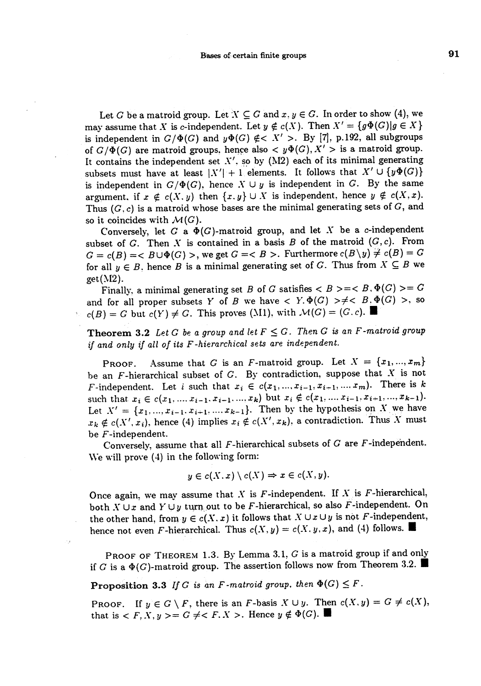Let G be a matroid group. Let  $X \subseteq G$  and  $x, y \in G$ . In order to show (4), we may assume that X is c-independent. Let  $y \notin c(X)$ . Then  $X' = \{g\Phi(G) | g \in X\}$ is independent in  $G/\Phi(G)$  and  $y\Phi(G) \notin  $X' >$ . By [7], p.192, all subgroups$ of  $G/\Phi(G)$  are matroid groups, hence also  $< y\Phi(G), X' >$  is a matroid group. It contains the independent set  $X'$ , so by (M2) each of its minimal generating subsets must have at least  $|X'| + 1$  elements. It follows that  $X' \cup \{y\Phi(G)\}\$ is independent in  $G/\Phi(G)$ , hence  $X \cup y$  is independent in G. By the same argument, if  $x \notin c(X, y)$  then  $\{x, y\} \cup X$  is independent, hence  $y \notin c(X, x)$ . Thus  $(G, c)$  is a matroid whose bases are the minimal generating sets of  $G$ , and so it coincides with  $\mathcal{M}(G)$ .

Conversely, let G a  $\Phi(G)$ -matroid group, and let X be a c-independent subset of G. Then X is contained in a basis B of the matroid  $(G, c)$ . From  $G = c(B) = < B \cup \Phi(G) >$ , we get  $G = < B >$ . Furthermore  $c(B \setminus y) \neq c(B) = G$ for all  $y \in B$ , hence B is a minimal generating set of G. Thus from  $X \subseteq B$  we get(M2).

Finally, a minimal generating set B of G satisfies  $\langle B \rangle = \langle B, \Phi(G) \rangle = G$ and for all proper subsets Y of B we have  $Y \cdot \Phi(G) \geq \neq D$ ,  $\Phi(G) >$ , so  $c(B) = G$  but  $c(Y) \neq G$ . This proves (M1), with  $\mathcal{M}(G) = (G, c)$ .

**Theorem 3.2** Let G be a group and let  $F \leq G$ . Then G is an F-matroid group if and only if all of its F-hierarchical sets are independent.

PROOF. Assume that G is an F-matroid group. Let  $X = \{x_1, ..., x_m\}$ be an  $F$ -hierarchical subset of  $G$ . By contradiction, suppose that  $X$  is not F-independent. Let i such that  $x_i \in c(x_1, ..., x_{i-1}, x_{i+1}, ..., x_m)$ . There is k such that  $x_i \in c(x_1, ..., x_{i-1}, x_{i+1}, ..., x_k)$  but  $x_i \notin c(x_1, ..., x_{i-1}, x_{i+1}, ..., x_{k-1}).$ Let  $X' = \{x_1, ..., x_{i-1}, x_{i+1}, ..., x_{k-1}\}.$  Then by the hypothesis on X we have  $x_k \notin c(X', x_i)$ , hence (4) implies  $x_i \notin c(X', x_k)$ , a contradiction. Thus X must be F-independent.

Conversely, assume that all  $F$ -hierarchical subsets of  $G$  are  $F$ -independent. We will prove  $(4)$  in the following form:

$$
y\in c(X,x)\setminus c(X)\Rightarrow x\in c(X,y).
$$

Once again, we may assume that  $X$  is  $F$ -independent. If  $X$  is  $F$ -hierarchical, both  $X \cup x$  and  $Y \cup y$  turn out to be F-hierarchical, so also F-independent. On the other hand, from  $y \in c(X, x)$  it follows that  $X \cup x \cup y$  is not F-independent, hence not even F-hierarchical. Thus  $c(X, y) = c(X, y, x)$ , and (4) follows.

PROOF OF THEOREM 1.3. By Lemma 3.1, G is a matroid group if and only if G is a  $\Phi(G)$ -matroid group. The assertion follows now from Theorem 3.2.

**Proposition 3.3** If G is an F-matroid group, then  $\Phi(G) \leq F$ .

~

PROOF. If  $y \in G \setminus F$ , there is an F-basis  $X \cup y$ . Then  $c(X, y) = G \neq c(X)$ . that is  $F, X, y \ge G \ne F, X >$ . Hence  $y \notin \Phi(G)$ .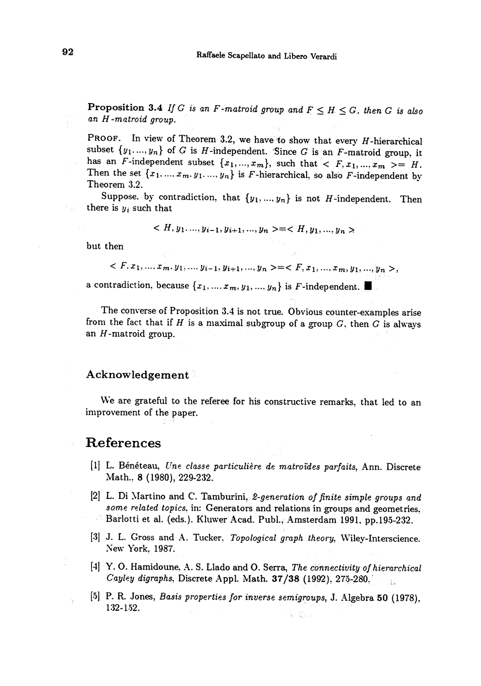**Proposition 3.4** If G is an F-matroid group and  $F \leq H \leq G$ , then G is also an H-matroid group.

PROOF. In view of Theorem 3.2, we have to show that every  $H$ -hierarchical subset  $\{y_1, ..., y_n\}$  of G is H-independent. Since G is an F-matroid group, it has an F-independent subset  $\{x_1, ..., x_m\}$ , such that  $\langle F, x_1, ..., x_m \rangle = H$ . Then the set  ${x_1, ..., x_m, y_1, ..., y_n}$  is *F*-hierarchical, so also *F*-independent by Theorem 3.2.

Suppose, by contradiction, that  $\{y_1, ..., y_n\}$  is not H-independent. Then there is  $y_i$  such that ' '

$$
\langle H, y_1, \ldots, y_{i-1}, y_{i+1}, \ldots, y_n \rangle = \langle H, y_1, \ldots, y_n \rangle
$$

but then

 $\langle F, x_1, ..., x_m, y_1, ..., y_{i-1}, y_{i+1}, ..., y_n \rangle = \langle F, x_1, ..., x_m, y_1, ..., y_n \rangle$ 

a contradiction, because  $\{x_1, ..., x_m, y_1, ..., y_n\}$  is F-independent.

The converse of Proposition 3.4 is not true. Obvious counter-examples arise from the fact that if  $H$  is a maximal subgroup of a group  $G$ , then  $G$  is always an  $H$ -matroid group.

#### Acknowledgement .

We are grateful to the referee for his constructive remarks, that led to an improvement of the paper.

### References

- [1] L. Bénéteau, Une classe particulière de matroïdes parfaits, Ann. Discrete Math., 8 (1980), 229-232.
- [2] L. Di Martino and C. Tamburini, 2-generation of finite simple groups and some related topics, in: Generators and relations in groups and geometries. Barlotti et al. (eds.). Kluwer Acad. Publ., Amsterdam 1991, pp.195-232.
- [3] J. L. Gross and A. Tucker, Topological graph theory, Wiley-Interscience. New York, 1987.
- [4] Y. O. Hamidoune, A. S. Llado and O. Serra, The connectivity of hierarchical Cayley digraphs, Discrete Appl. Math. 37/38 (1992), 275-280.
- [5] P. R. Jones, Basis properties for inverse semigroups, J. Algebra 50 (1978), 132-152. $x = \sqrt{1}$